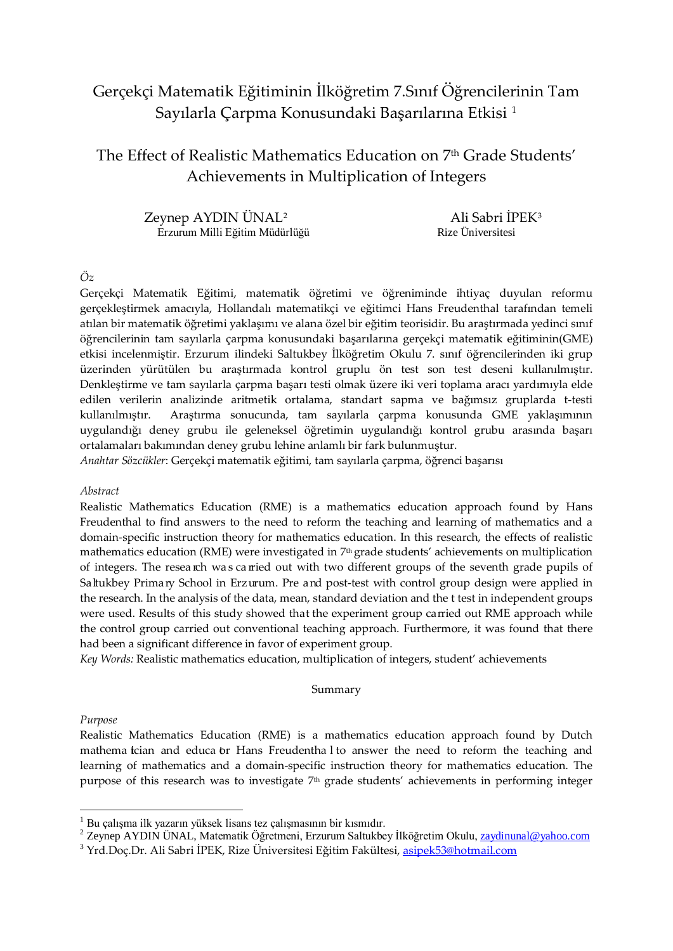# Gerçekçi Matematik Eğitiminin İlköğretim 7.Sınıf Öğrencilerinin Tam Sayılarla Çarpma Konusundaki Başarılarına Etkisi [1](#page-0-0)

## The Effect of Realistic Mathematics Education on 7<sup>th</sup> Grade Students' Achievements in Multiplication of Integers

 Zeynep AYDIN ÜNAL[2](#page-0-1) Ali Sabri İPEK[3](#page-0-2) Erzurum Milli Eğitim Müdürlüğü **Killi Karacast** Rize Üniversitesi

## *Öz*

Gerçekçi Matematik Eğitimi, matematik öğretimi ve öğreniminde ihtiyaç duyulan reformu gerçekleştirmek amacıyla, Hollandalı matematikçi ve eğitimci Hans Freudenthal tarafından temeli atılan bir matematik öğretimi yaklaşımı ve alana özel bir eğitim teorisidir. Bu araştırmada yedinci sınıf öğrencilerinin tam sayılarla çarpma konusundaki başarılarına gerçekçi matematik eğitiminin(GME) etkisi incelenmiştir. Erzurum ilindeki Saltukbey İlköğretim Okulu 7. sınıf öğrencilerinden iki grup üzerinden yürütülen bu araştırmada kontrol gruplu ön test son test deseni kullanılmıştır. Denkleştirme ve tam sayılarla çarpma başarı testi olmak üzere iki veri toplama aracı yardımıyla elde edilen verilerin analizinde aritmetik ortalama, standart sapma ve bağımsız gruplarda t-testi kullanılmıştır. Araştırma sonucunda, tam sayılarla çarpma konusunda GME yaklaşımının uygulandığı deney grubu ile geleneksel öğretimin uygulandığı kontrol grubu arasında başarı ortalamaları bakımından deney grubu lehine anlamlı bir fark bulunmuştur.

*Anahtar Sözcükler*: Gerçekçi matematik eğitimi, tam sayılarla çarpma, öğrenci başarısı

### *Abstract*

Realistic Mathematics Education (RME) is a mathematics education approach found by Hans Freudenthal to find answers to the need to reform the teaching and learning of mathematics and a domain-specific instruction theory for mathematics education. In this research, the effects of realistic mathematics education (RME) were investigated in 7<sup>th</sup> grade students' achievements on multiplication of integers. The resea rch was ca rried out with two different groups of the seventh grade pupils of Saltukbey Primary School in Erzurum. Pre and post-test with control group design were applied in the research. In the analysis of the data, mean, standard deviation and the t test in independent groups were used. Results of this study showed that the experiment group carried out RME approach while the control group carried out conventional teaching approach. Furthermore, it was found that there had been a significant difference in favor of experiment group.

*Key Words:* Realistic mathematics education, multiplication of integers, student' achievements

### Summary

### *Purpose*

Realistic Mathematics Education (RME) is a mathematics education approach found by Dutch mathema tcian and educa br Hans Freudentha l to answer the need to reform the teaching and learning of mathematics and a domain-specific instruction theory for mathematics education. The purpose of this research was to investigate 7<sup>th</sup> grade students' achievements in performing integer

 $1$  Bu calısma ilk yazarın yüksek lisans tez çalışmasının bir kısmıdır.

<span id="page-0-1"></span><span id="page-0-0"></span><sup>&</sup>lt;sup>2</sup> Zeynep AYDIN ÜNAL, Matematik Öğretmeni, Erzurum Saltukbey İlköğretim Okulu, [zaydinunal@yahoo.com](mailto:zaydinunal@yahoo.com)

<span id="page-0-2"></span><sup>&</sup>lt;sup>3</sup> Yrd.Doç.Dr. Ali Sabri İPEK, Rize Üniversitesi Eğitim Fakültesi[, asipek53@hotmail.c](mailto:asipek53@hotmail.com)om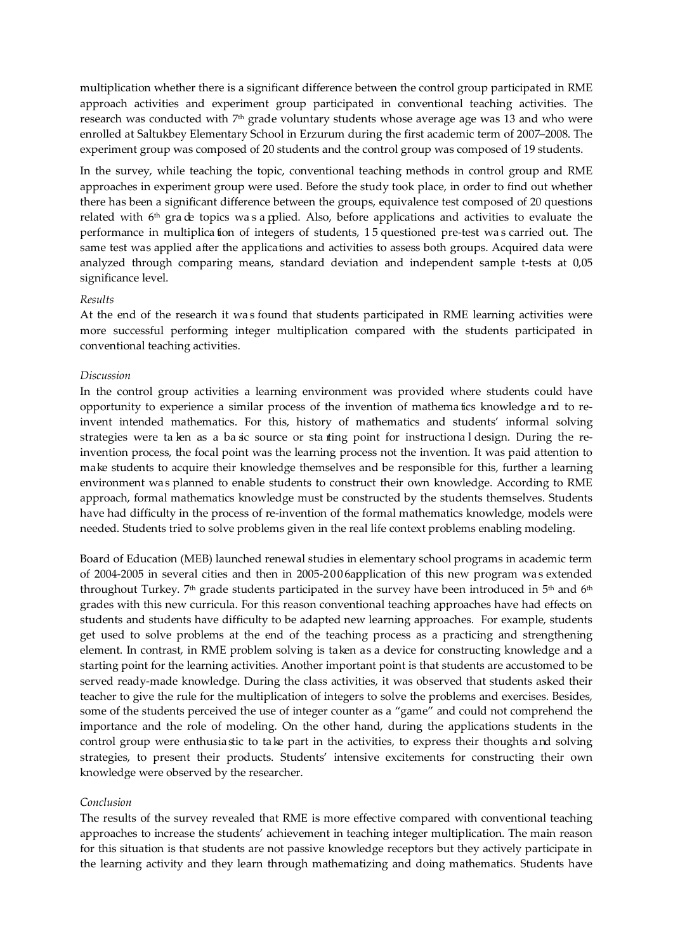multiplication whether there is a significant difference between the control group participated in RME approach activities and experiment group participated in conventional teaching activities. The research was conducted with 7<sup>th</sup> grade voluntary students whose average age was 13 and who were enrolled at Saltukbey Elementary School in Erzurum during the first academic term of 2007–2008. The experiment group was composed of 20 students and the control group was composed of 19 students.

In the survey, while teaching the topic, conventional teaching methods in control group and RME approaches in experiment group were used. Before the study took place, in order to find out whether there has been a significant difference between the groups, equivalence test composed of 20 questions related with 6th gra de topics wa s a pplied. Also, before applications and activities to evaluate the performance in multiplica tion of integers of students, 1 5 questioned pre-test wa s carried out. The same test was applied after the applications and activities to assess both groups. Acquired data were analyzed through comparing means, standard deviation and independent sample t-tests at 0,05 significance level.

### *Results*

At the end of the research it wa s found that students participated in RME learning activities were more successful performing integer multiplication compared with the students participated in conventional teaching activities.

#### *Discussion*

In the control group activities a learning environment was provided where students could have opportunity to experience a similar process of the invention of mathema tics knowledge a nd to reinvent intended mathematics. For this, history of mathematics and students' informal solving strategies were ta ken as a ba sic source or sta rting point for instructiona l design. During the reinvention process, the focal point was the learning process not the invention. It was paid attention to make students to acquire their knowledge themselves and be responsible for this, further a learning environment was planned to enable students to construct their own knowledge. According to RME approach, formal mathematics knowledge must be constructed by the students themselves. Students have had difficulty in the process of re-invention of the formal mathematics knowledge, models were needed. Students tried to solve problems given in the real life context problems enabling modeling.

Board of Education (MEB) launched renewal studies in elementary school programs in academic term of 2004-2005 in several cities and then in 2005-2006 application of this new program was extended throughout Turkey.  $7<sup>th</sup>$  grade students participated in the survey have been introduced in  $5<sup>th</sup>$  and  $6<sup>th</sup>$ grades with this new curricula. For this reason conventional teaching approaches have had effects on students and students have difficulty to be adapted new learning approaches. For example, students get used to solve problems at the end of the teaching process as a practicing and strengthening element. In contrast, in RME problem solving is taken as a device for constructing knowledge and a starting point for the learning activities. Another important point is that students are accustomed to be served ready-made knowledge. During the class activities, it was observed that students asked their teacher to give the rule for the multiplication of integers to solve the problems and exercises. Besides, some of the students perceived the use of integer counter as a "game" and could not comprehend the importance and the role of modeling. On the other hand, during the applications students in the control group were enthusia stic to ta ke part in the activities, to express their thoughts a nd solving strategies, to present their products. Students' intensive excitements for constructing their own knowledge were observed by the researcher.

#### *Conclusion*

The results of the survey revealed that RME is more effective compared with conventional teaching approaches to increase the students' achievement in teaching integer multiplication. The main reason for this situation is that students are not passive knowledge receptors but they actively participate in the learning activity and they learn through mathematizing and doing mathematics. Students have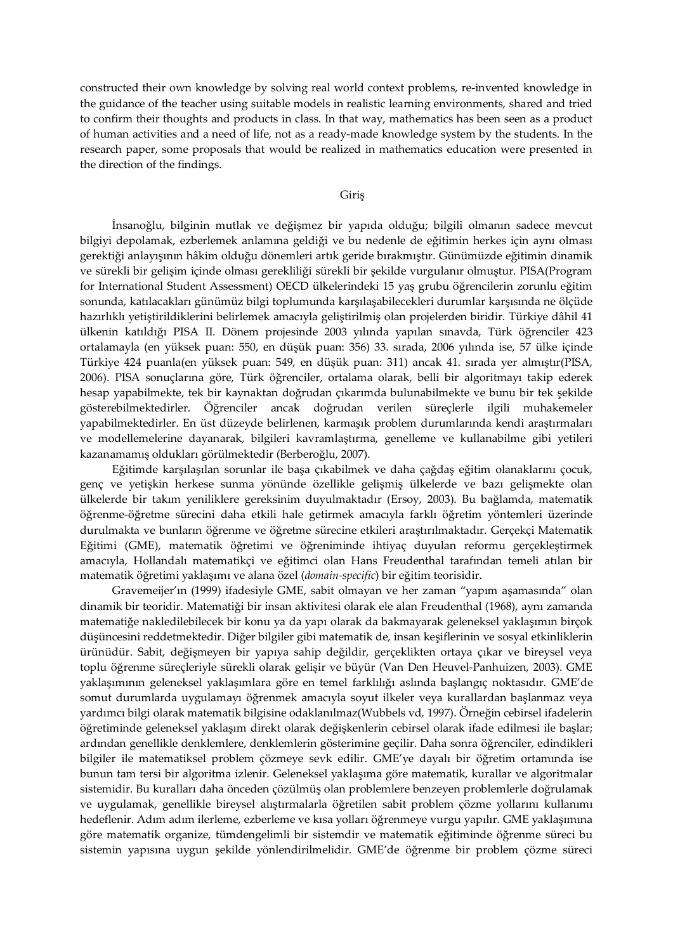constructed their own knowledge by solving real world context problems, re-invented knowledge in the guidance of the teacher using suitable models in realistic learning environments, shared and tried to confirm their thoughts and products in class. In that way, mathematics has been seen as a product of human activities and a need of life, not as a ready-made knowledge system by the students. In the research paper, some proposals that would be realized in mathematics education were presented in the direction of the findings.

#### Giriş

İnsanoğlu, bilginin mutlak ve değişmez bir yapıda olduğu; bilgili olmanın sadece mevcut bilgiyi depolamak, ezberlemek anlamına geldiği ve bu nedenle de eğitimin herkes için aynı olması gerektiği anlayışının hâkim olduğu dönemleri artık geride bırakmıştır. Günümüzde eğitimin dinamik ve sürekli bir gelişim içinde olması gerekliliği sürekli bir şekilde vurgulanır olmuştur. PISA(Program for International Student Assessment) OECD ülkelerindeki 15 yaş grubu öğrencilerin zorunlu eğitim sonunda, katılacakları günümüz bilgi toplumunda karşılaşabilecekleri durumlar karşısında ne ölçüde hazırlıklı yetiştirildiklerini belirlemek amacıyla geliştirilmiş olan projelerden biridir. Türkiye dâhil 41 ülkenin katıldığı PISA II. Dönem projesinde 2003 yılında yapılan sınavda, Türk öğrenciler 423 ortalamayla (en yüksek puan: 550, en düşük puan: 356) 33. sırada, 2006 yılında ise, 57 ülke içinde Türkiye 424 puanla(en yüksek puan: 549, en düşük puan: 311) ancak 41. sırada yer almıştır(PISA, 2006). PISA sonuçlarına göre, Türk öğrenciler, ortalama olarak, belli bir algoritmayı takip ederek hesap yapabilmekte, tek bir kaynaktan doğrudan çıkarımda bulunabilmekte ve bunu bir tek şekilde gösterebilmektedirler. Öğrenciler ancak doğrudan verilen süreçlerle ilgili muhakemeler yapabilmektedirler. En üst düzeyde belirlenen, karmaşık problem durumlarında kendi araştırmaları ve modellemelerine dayanarak, bilgileri kavramlaştırma, genelleme ve kullanabilme gibi yetileri kazanamamış oldukları görülmektedir (Berberoğlu, 2007).

Eğitimde karşılaşılan sorunlar ile başa çıkabilmek ve daha çağdaş eğitim olanaklarını çocuk, genç ve yetişkin herkese sunma yönünde özellikle gelişmiş ülkelerde ve bazı gelişmekte olan ülkelerde bir takım yeniliklere gereksinim duyulmaktadır (Ersoy, 2003). Bu bağlamda, matematik öğrenme-öğretme sürecini daha etkili hale getirmek amacıyla farklı öğretim yöntemleri üzerinde durulmakta ve bunların öğrenme ve öğretme sürecine etkileri araştırılmaktadır. Gerçekçi Matematik Eğitimi (GME), matematik öğretimi ve öğreniminde ihtiyaç duyulan reformu gerçekleştirmek amacıyla, Hollandalı matematikçi ve eğitimci olan Hans Freudenthal tarafından temeli atılan bir matematik öğretimi yaklaşımı ve alana özel (*domain-specific*) bir eğitim teorisidir.

Gravemeijer'ın (1999) ifadesiyle GME, sabit olmayan ve her zaman "yapım aşamasında" olan dinamik bir teoridir. Matematiği bir insan aktivitesi olarak ele alan Freudenthal (1968), aynı zamanda matematiğe nakledilebilecek bir konu ya da yapı olarak da bakmayarak geleneksel yaklaşımın birçok düşüncesini reddetmektedir. Diğer bilgiler gibi matematik de, insan keşiflerinin ve sosyal etkinliklerin ürünüdür. Sabit, değişmeyen bir yapıya sahip değildir, gerçeklikten ortaya çıkar ve bireysel veya toplu öğrenme süreçleriyle sürekli olarak gelişir ve büyür (Van Den Heuvel-Panhuizen, 2003). GME yaklaşımının geleneksel yaklaşımlara göre en temel farklılığı aslında başlangıç noktasıdır. GME'de somut durumlarda uygulamayı öğrenmek amacıyla soyut ilkeler veya kurallardan başlanmaz veya yardımcı bilgi olarak matematik bilgisine odaklanılmaz(Wubbels vd, 1997). Örneğin cebirsel ifadelerin öğretiminde geleneksel yaklaşım direkt olarak değişkenlerin cebirsel olarak ifade edilmesi ile başlar; ardından genellikle denklemlere, denklemlerin gösterimine geçilir. Daha sonra öğrenciler, edindikleri bilgiler ile matematiksel problem çözmeye sevk edilir. GME'ye dayalı bir öğretim ortamında ise bunun tam tersi bir algoritma izlenir. Geleneksel yaklaşıma göre matematik, kurallar ve algoritmalar sistemidir. Bu kuralları daha önceden çözülmüş olan problemlere benzeyen problemlerle doğrulamak ve uygulamak, genellikle bireysel alıştırmalarla öğretilen sabit problem çözme yollarını kullanımı hedeflenir. Adım adım ilerleme, ezberleme ve kısa yolları öğrenmeye vurgu yapılır. GME yaklaşımına göre matematik organize, tümdengelimli bir sistemdir ve matematik eğitiminde öğrenme süreci bu sistemin yapısına uygun şekilde yönlendirilmelidir. GME'de öğrenme bir problem çözme süreci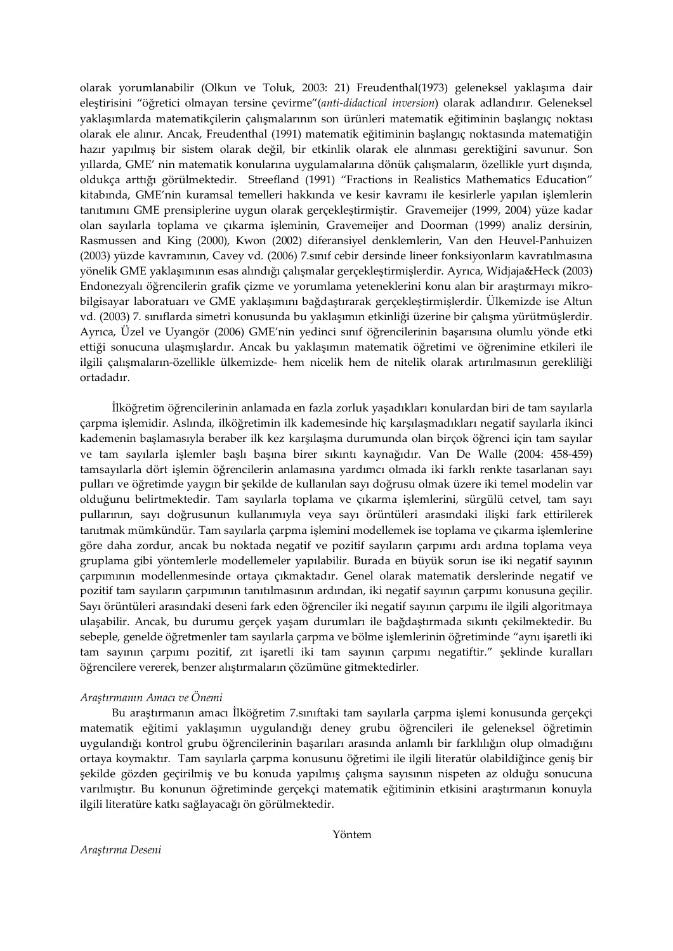olarak yorumlanabilir (Olkun ve Toluk, 2003: 21) Freudenthal(1973) geleneksel yaklaşıma dair eleştirisini "öğretici olmayan tersine çevirme"(*anti-didactical inversion*) olarak adlandırır. Geleneksel yaklaşımlarda matematikçilerin çalışmalarının son ürünleri matematik eğitiminin başlangıç noktası olarak ele alınır. Ancak, Freudenthal (1991) matematik eğitiminin başlangıç noktasında matematiğin hazır yapılmış bir sistem olarak değil, bir etkinlik olarak ele alınması gerektiğini savunur. Son yıllarda, GME' nin matematik konularına uygulamalarına dönük çalışmaların, özellikle yurt dışında, oldukça arttığı görülmektedir. Streefland (1991) "Fractions in Realistics Mathematics Education" kitabında, GME'nin kuramsal temelleri hakkında ve kesir kavramı ile kesirlerle yapılan işlemlerin tanıtımını GME prensiplerine uygun olarak gerçekleştirmiştir. Gravemeijer (1999, 2004) yüze kadar olan sayılarla toplama ve çıkarma işleminin, Gravemeijer and Doorman (1999) analiz dersinin, Rasmussen and King (2000), Kwon (2002) diferansiyel denklemlerin, Van den Heuvel-Panhuizen (2003) yüzde kavramının, Cavey vd*.* (2006) 7.sınıf cebir dersinde lineer fonksiyonların kavratılmasına yönelik GME yaklaşımının esas alındığı çalışmalar gerçekleştirmişlerdir. Ayrıca, Widjaja&Heck (2003) Endonezyalı öğrencilerin grafik çizme ve yorumlama yeteneklerini konu alan bir araştırmayı mikrobilgisayar laboratuarı ve GME yaklaşımını bağdaştırarak gerçekleştirmişlerdir. Ülkemizde ise Altun vd. (2003) 7. sınıflarda simetri konusunda bu yaklaşımın etkinliği üzerine bir çalışma yürütmüşlerdir. Ayrıca, Üzel ve Uyangör (2006) GME'nin yedinci sınıf öğrencilerinin başarısına olumlu yönde etki ettiği sonucuna ulaşmışlardır. Ancak bu yaklaşımın matematik öğretimi ve öğrenimine etkileri ile ilgili çalışmaların-özellikle ülkemizde- hem nicelik hem de nitelik olarak artırılmasının gerekliliği ortadadır.

İlköğretim öğrencilerinin anlamada en fazla zorluk yaşadıkları konulardan biri de tam sayılarla çarpma işlemidir. Aslında, ilköğretimin ilk kademesinde hiç karşılaşmadıkları negatif sayılarla ikinci kademenin başlamasıyla beraber ilk kez karşılaşma durumunda olan birçok öğrenci için tam sayılar ve tam sayılarla işlemler başlı başına birer sıkıntı kaynağıdır. Van De Walle (2004: 458-459) tamsayılarla dört işlemin öğrencilerin anlamasına yardımcı olmada iki farklı renkte tasarlanan sayı pulları ve öğretimde yaygın bir şekilde de kullanılan sayı doğrusu olmak üzere iki temel modelin var olduğunu belirtmektedir. Tam sayılarla toplama ve çıkarma işlemlerini, sürgülü cetvel, tam sayı pullarının, sayı doğrusunun kullanımıyla veya sayı örüntüleri arasındaki ilişki fark ettirilerek tanıtmak mümkündür. Tam sayılarla çarpma işlemini modellemek ise toplama ve çıkarma işlemlerine göre daha zordur, ancak bu noktada negatif ve pozitif sayıların çarpımı ardı ardına toplama veya gruplama gibi yöntemlerle modellemeler yapılabilir. Burada en büyük sorun ise iki negatif sayının çarpımının modellenmesinde ortaya çıkmaktadır. Genel olarak matematik derslerinde negatif ve pozitif tam sayıların çarpımının tanıtılmasının ardından, iki negatif sayının çarpımı konusuna geçilir. Sayı örüntüleri arasındaki deseni fark eden öğrenciler iki negatif sayının çarpımı ile ilgili algoritmaya ulaşabilir. Ancak, bu durumu gerçek yaşam durumları ile bağdaştırmada sıkıntı çekilmektedir. Bu sebeple, genelde öğretmenler tam sayılarla çarpma ve bölme işlemlerinin öğretiminde "aynı işaretli iki tam sayının çarpımı pozitif, zıt işaretli iki tam sayının çarpımı negatiftir." şeklinde kuralları öğrencilere vererek, benzer alıştırmaların çözümüne gitmektedirler.

## *Araştırmanın Amacı ve Önemi*

Bu araştırmanın amacı İlköğretim 7.sınıftaki tam sayılarla çarpma işlemi konusunda gerçekçi matematik eğitimi yaklaşımın uygulandığı deney grubu öğrencileri ile geleneksel öğretimin uygulandığı kontrol grubu öğrencilerinin başarıları arasında anlamlı bir farklılığın olup olmadığını ortaya koymaktır. Tam sayılarla çarpma konusunu öğretimi ile ilgili literatür olabildiğince geniş bir şekilde gözden geçirilmiş ve bu konuda yapılmış çalışma sayısının nispeten az olduğu sonucuna varılmıştır. Bu konunun öğretiminde gerçekçi matematik eğitiminin etkisini araştırmanın konuyla ilgili literatüre katkı sağlayacağı ön görülmektedir.

Yöntem

*Araştırma Deseni*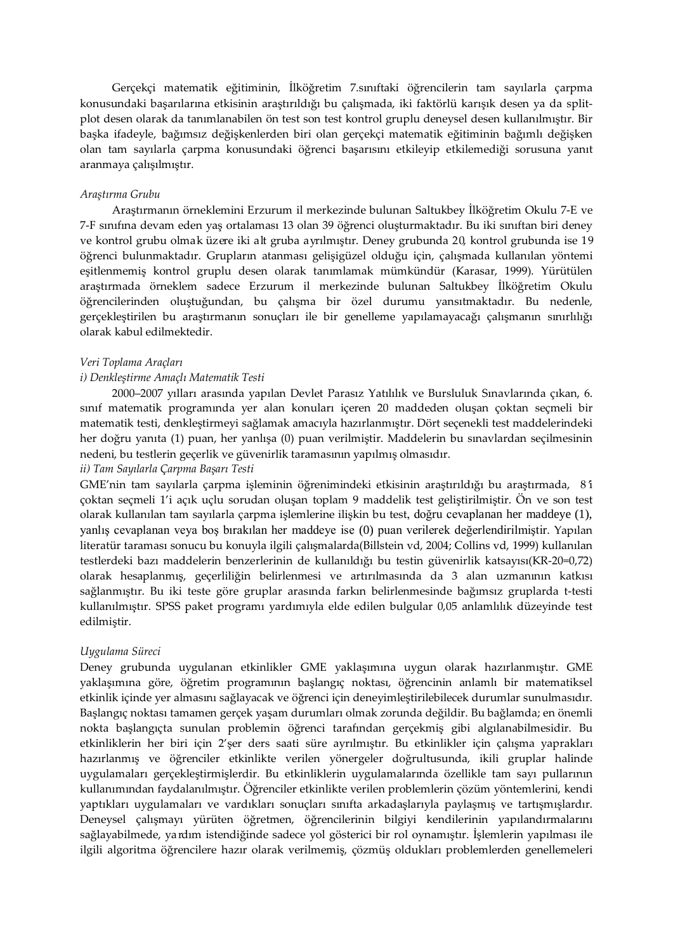Gerçekçi matematik eğitiminin, İlköğretim 7.sınıftaki öğrencilerin tam sayılarla çarpma konusundaki başarılarına etkisinin araştırıldığı bu çalışmada, iki faktörlü karışık desen ya da splitplot desen olarak da tanımlanabilen ön test son test kontrol gruplu deneysel desen kullanılmıştır. Bir başka ifadeyle, bağımsız değişkenlerden biri olan gerçekçi matematik eğitiminin bağımlı değişken olan tam sayılarla çarpma konusundaki öğrenci başarısını etkileyip etkilemediği sorusuna yanıt aranmaya çalışılmıştır.

### *Araştırma Grubu*

Araştırmanın örneklemini Erzurum il merkezinde bulunan Saltukbey İlköğretim Okulu 7-E ve 7-F sınıfına devam eden yaş ortalaması 13 olan 39 öğrenci oluşturmaktadır. Bu iki sınıftan biri deney ve kontrol grubu olmak üzere iki alt gruba ayrılmıştır. Deney grubunda 20, kontrol grubunda ise 19 öğrenci bulunmaktadır. Grupların atanması gelişigüzel olduğu için, çalışmada kullanılan yöntemi eşitlenmemiş kontrol gruplu desen olarak tanımlamak mümkündür (Karasar, 1999). Yürütülen araştırmada örneklem sadece Erzurum il merkezinde bulunan Saltukbey İlköğretim Okulu öğrencilerinden oluştuğundan, bu çalışma bir özel durumu yansıtmaktadır. Bu nedenle, gerçekleştirilen bu araştırmanın sonuçları ile bir genelleme yapılamayacağı çalışmanın sınırlılığı olarak kabul edilmektedir.

#### *Veri Toplama Araçları*

### *i) Denkleştirme Amaçlı Matematik Testi*

2000–2007 yılları arasında yapılan Devlet Parasız Yatılılık ve Bursluluk Sınavlarında çıkan, 6. sınıf matematik programında yer alan konuları içeren 20 maddeden oluşan çoktan seçmeli bir matematik testi, denkleştirmeyi sağlamak amacıyla hazırlanmıştır. Dört seçenekli test maddelerindeki her doğru yanıta (1) puan, her yanlışa (0) puan verilmiştir. Maddelerin bu sınavlardan seçilmesinin nedeni, bu testlerin geçerlik ve güvenirlik taramasının yapılmış olmasıdır.

## *ii) Tam Sayılarla Çarpma Başarı Testi*

GME'nin tam sayılarla çarpma işleminin öğrenimindeki etkisinin araştırıldığı bu araştırmada, 8 'i çoktan seçmeli 1'i açık uçlu sorudan oluşan toplam 9 maddelik test geliştirilmiştir. Ön ve son test olarak kullanılan tam sayılarla çarpma işlemlerine ilişkin bu test, doğru cevaplanan her maddeye (1), yanlış cevaplanan veya boş bırakılan her maddeye ise (0) puan verilerek değerlendirilmiştir. Yapılan literatür taraması sonucu bu konuyla ilgili çalışmalarda(Billstein vd, 2004; Collins vd, 1999) kullanılan testlerdeki bazı maddelerin benzerlerinin de kullanıldığı bu testin güvenirlik katsayısı(KR-20=0,72) olarak hesaplanmış, geçerliliğin belirlenmesi ve artırılmasında da 3 alan uzmanının katkısı sağlanmıştır. Bu iki teste göre gruplar arasında farkın belirlenmesinde bağımsız gruplarda t-testi kullanılmıştır. SPSS paket programı yardımıyla elde edilen bulgular 0,05 anlamlılık düzeyinde test edilmiştir.

#### *Uygulama Süreci*

Deney grubunda uygulanan etkinlikler GME yaklaşımına uygun olarak hazırlanmıştır. GME yaklaşımına göre, öğretim programının başlangıç noktası, öğrencinin anlamlı bir matematiksel etkinlik içinde yer almasını sağlayacak ve öğrenci için deneyimleştirilebilecek durumlar sunulmasıdır. Başlangıç noktası tamamen gerçek yaşam durumları olmak zorunda değildir. Bu bağlamda; en önemli nokta başlangıçta sunulan problemin öğrenci tarafından gerçekmiş gibi algılanabilmesidir. Bu etkinliklerin her biri için 2'şer ders saati süre ayrılmıştır. Bu etkinlikler için çalışma yaprakları hazırlanmış ve öğrenciler etkinlikte verilen yönergeler doğrultusunda, ikili gruplar halinde uygulamaları gerçekleştirmişlerdir. Bu etkinliklerin uygulamalarında özellikle tam sayı pullarının kullanımından faydalanılmıştır. Öğrenciler etkinlikte verilen problemlerin çözüm yöntemlerini, kendi yaptıkları uygulamaları ve vardıkları sonuçları sınıfta arkadaşlarıyla paylaşmış ve tartışmışlardır. Deneysel çalışmayı yürüten öğretmen, öğrencilerinin bilgiyi kendilerinin yapılandırmalarını sağlayabilmede, yardım istendiğinde sadece yol gösterici bir rol oynamıştır. İşlemlerin yapılması ile ilgili algoritma öğrencilere hazır olarak verilmemiş, çözmüş oldukları problemlerden genellemeleri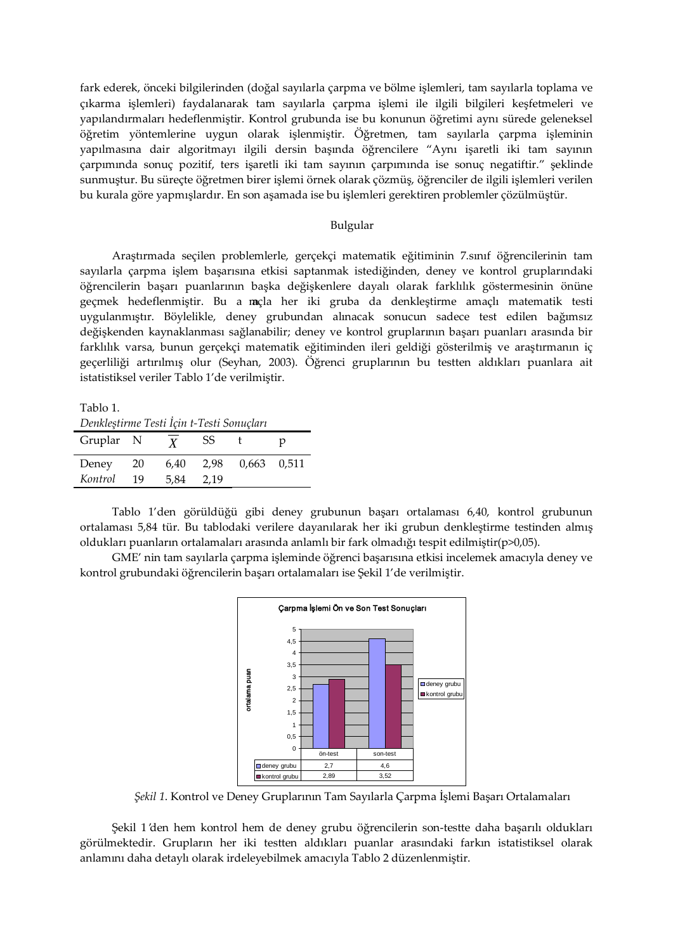fark ederek, önceki bilgilerinden (doğal sayılarla çarpma ve bölme işlemleri, tam sayılarla toplama ve çıkarma işlemleri) faydalanarak tam sayılarla çarpma işlemi ile ilgili bilgileri keşfetmeleri ve yapılandırmaları hedeflenmiştir. Kontrol grubunda ise bu konunun öğretimi aynı sürede geleneksel öğretim yöntemlerine uygun olarak işlenmiştir. Öğretmen, tam sayılarla çarpma işleminin yapılmasına dair algoritmayı ilgili dersin başında öğrencilere "Aynı işaretli iki tam sayının çarpımında sonuç pozitif, ters işaretli iki tam sayının çarpımında ise sonuç negatiftir." şeklinde sunmuştur. Bu süreçte öğretmen birer işlemi örnek olarak çözmüş, öğrenciler de ilgili işlemleri verilen bu kurala göre yapmışlardır. En son aşamada ise bu işlemleri gerektiren problemler çözülmüştür.

#### Bulgular

Araştırmada seçilen problemlerle, gerçekçi matematik eğitiminin 7.sınıf öğrencilerinin tam sayılarla çarpma işlem başarısına etkisi saptanmak istediğinden, deney ve kontrol gruplarındaki öğrencilerin başarı puanlarının başka değişkenlere dayalı olarak farklılık göstermesinin önüne geçmek hedeflenmiştir. Bu a maçla her iki gruba da denkleştirme amaçlı matematik testi uygulanmıştır. Böylelikle, deney grubundan alınacak sonucun sadece test edilen bağımsız değişkenden kaynaklanması sağlanabilir; deney ve kontrol gruplarının başarı puanları arasında bir farklılık varsa, bunun gerçekçi matematik eğitiminden ileri geldiği gösterilmiş ve araştırmanın iç geçerliliği artırılmış olur (Seyhan, 2003). Öğrenci gruplarının bu testten aldıkları puanlara ait istatistiksel veriler Tablo 1'de verilmiştir.

Tablo 1.

| Denkleştirme Testi Için t-Testi Sonuçları |      |                  |      |               |   |  |  |  |  |
|-------------------------------------------|------|------------------|------|---------------|---|--|--|--|--|
| Gruplar N                                 |      | $\boldsymbol{Y}$ | SS   |               | р |  |  |  |  |
| Deney                                     | - 20 | 6.40             | 2.98 | $0,663$ 0,511 |   |  |  |  |  |
| Kontrol                                   | 19   | 5.84             | 2.19 |               |   |  |  |  |  |

Tablo 1'den görüldüğü gibi deney grubunun başarı ortalaması 6,40, kontrol grubunun ortalaması 5,84 tür. Bu tablodaki verilere dayanılarak her iki grubun denkleştirme testinden almış oldukları puanların ortalamaları arasında anlamlı bir fark olmadığı tespit edilmiştir(p>0,05).

GME' nin tam sayılarla çarpma işleminde öğrenci başarısına etkisi incelemek amacıyla deney ve kontrol grubundaki öğrencilerin başarı ortalamaları ise Şekil 1'de verilmiştir.



*Şekil 1*. Kontrol ve Deney Gruplarının Tam Sayılarla Çarpma İşlemi Başarı Ortalamaları

Şekil 1 'den hem kontrol hem de deney grubu öğrencilerin son-testte daha başarılı oldukları görülmektedir. Grupların her iki testten aldıkları puanlar arasındaki farkın istatistiksel olarak anlamını daha detaylı olarak irdeleyebilmek amacıyla Tablo 2 düzenlenmiştir.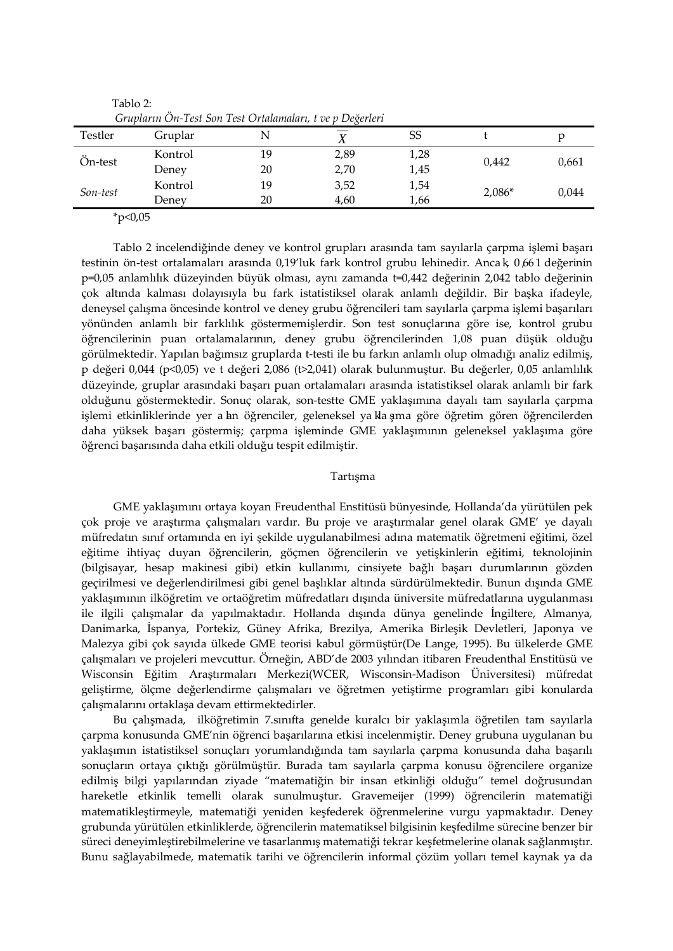| Grupların On-Test Son Test Ortalamaları, t ve p Değerleri |         |    |              |      |          |       |  |  |
|-----------------------------------------------------------|---------|----|--------------|------|----------|-------|--|--|
| Testler                                                   | Gruplar |    | $\mathbf{v}$ | SS   |          | р     |  |  |
| Ön-test                                                   | Kontrol | 19 | 2,89         | 1,28 | 0.442    | 0,661 |  |  |
|                                                           | Deney   | 20 | 2,70         | 1,45 |          |       |  |  |
| Son-test                                                  | Kontrol | 19 | 3,52         | 1,54 | $2,086*$ | 0,044 |  |  |
|                                                           | Deney   | 20 | 4.60         | 1,66 |          |       |  |  |

Tablo 2:

 $*p<0,05$ 

Tablo 2 incelendiğinde deney ve kontrol grupları arasında tam sayılarla çarpma işlemi başarı testinin ön-test ortalamaları arasında 0,19'luk fark kontrol grubu lehinedir. Anca k, 0,661 değerinin p=0,05 anlamlılık düzeyinden büyük olması, aynı zamanda t=0,442 değerinin 2,042 tablo değerinin çok altında kalması dolayısıyla bu fark istatistiksel olarak anlamlı değildir. Bir başka ifadeyle, deneysel çalışma öncesinde kontrol ve deney grubu öğrencileri tam sayılarla çarpma işlemi başarıları yönünden anlamlı bir farklılık göstermemişlerdir. Son test sonuçlarına göre ise, kontrol grubu öğrencilerinin puan ortalamalarının, deney grubu öğrencilerinden 1,08 puan düşük olduğu görülmektedir. Yapılan bağımsız gruplarda t-testi ile bu farkın anlamlı olup olmadığı analiz edilmiş, p değeri 0,044 (p<0,05) ve t değeri 2,086 (t>2,041) olarak bulunmuştur. Bu değerler, 0,05 anlamlılık düzeyinde, gruplar arasındaki başarı puan ortalamaları arasında istatistiksel olarak anlamlı bir fark olduğunu göstermektedir. Sonuç olarak, son-testte GME yaklaşımına dayalı tam sayılarla çarpma islemi etkinliklerinde yer a hn öğrenciler, geleneksel ya kla sma göre öğretim gören öğrencilerden daha yüksek başarı göstermiş; çarpma işleminde GME yaklaşımının geleneksel yaklaşıma göre öğrenci başarısında daha etkili olduğu tespit edilmiştir.

## Tartışma

GME yaklaşımını ortaya koyan Freudenthal Enstitüsü bünyesinde, Hollanda'da yürütülen pek çok proje ve araştırma çalışmaları vardır. Bu proje ve araştırmalar genel olarak GME' ye dayalı müfredatın sınıf ortamında en iyi şekilde uygulanabilmesi adına matematik öğretmeni eğitimi, özel eğitime ihtiyaç duyan öğrencilerin, göçmen öğrencilerin ve yetişkinlerin eğitimi, teknolojinin (bilgisayar, hesap makinesi gibi) etkin kullanımı, cinsiyete bağlı başarı durumlarının gözden geçirilmesi ve değerlendirilmesi gibi genel başlıklar altında sürdürülmektedir. Bunun dışında GME yaklaşımının ilköğretim ve ortaöğretim müfredatları dışında üniversite müfredatlarına uygulanması ile ilgili çalışmalar da yapılmaktadır. Hollanda dışında dünya genelinde İngiltere, Almanya, Danimarka, İspanya, Portekiz, Güney Afrika, Brezilya, Amerika Birleşik Devletleri, Japonya ve Malezya gibi çok sayıda ülkede GME teorisi kabul görmüştür(De Lange, 1995). Bu ülkelerde GME çalışmaları ve projeleri mevcuttur. Örneğin, ABD'de 2003 yılından itibaren Freudenthal Enstitüsü ve Wisconsin Eğitim Araştırmaları Merkezi(WCER, Wisconsin-Madison Üniversitesi) müfredat geliştirme, ölçme değerlendirme çalışmaları ve öğretmen yetiştirme programları gibi konularda çalışmalarını ortaklaşa devam ettirmektedirler.

Bu çalışmada, ilköğretimin 7.sınıfta genelde kuralcı bir yaklaşımla öğretilen tam sayılarla çarpma konusunda GME'nin öğrenci başarılarına etkisi incelenmiştir. Deney grubuna uygulanan bu yaklaşımın istatistiksel sonuçları yorumlandığında tam sayılarla çarpma konusunda daha başarılı sonuçların ortaya çıktığı görülmüştür. Burada tam sayılarla çarpma konusu öğrencilere organize edilmiş bilgi yapılarından ziyade "matematiğin bir insan etkinliği olduğu" temel doğrusundan hareketle etkinlik temelli olarak sunulmuştur. Gravemeijer (1999) öğrencilerin matematiği matematikleştirmeyle, matematiği yeniden keşfederek öğrenmelerine vurgu yapmaktadır. Deney grubunda yürütülen etkinliklerde, öğrencilerin matematiksel bilgisinin keşfedilme sürecine benzer bir süreci deneyimleştirebilmelerine ve tasarlanmış matematiği tekrar keşfetmelerine olanak sağlanmıştır. Bunu sağlayabilmede, matematik tarihi ve öğrencilerin informal çözüm yolları temel kaynak ya da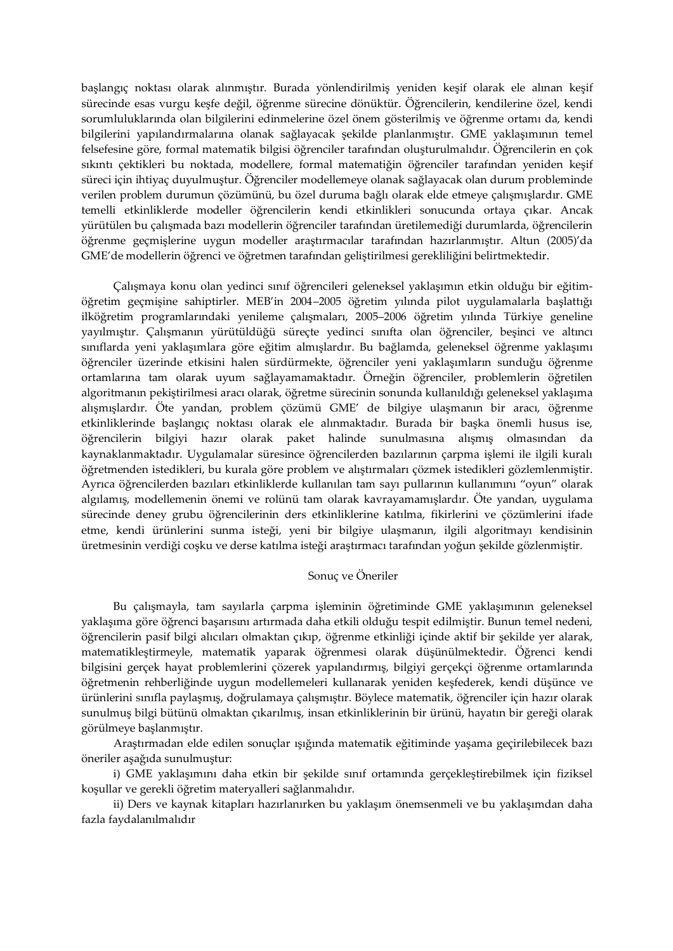başlangıç noktası olarak alınmıştır. Burada yönlendirilmiş yeniden keşif olarak ele alınan keşif sürecinde esas vurgu keşfe değil, öğrenme sürecine dönüktür. Öğrencilerin, kendilerine özel, kendi sorumluluklarında olan bilgilerini edinmelerine özel önem gösterilmiş ve öğrenme ortamı da, kendi bilgilerini yapılandırmalarına olanak sağlayacak şekilde planlanmıştır. GME yaklaşımının temel felsefesine göre, formal matematik bilgisi öğrenciler tarafından oluşturulmalıdır. Öğrencilerin en çok sıkıntı çektikleri bu noktada, modellere, formal matematiğin öğrenciler tarafından yeniden keşif süreci için ihtiyaç duyulmuştur. Öğrenciler modellemeye olanak sağlayacak olan durum probleminde verilen problem durumun çözümünü, bu özel duruma bağlı olarak elde etmeye çalışmışlardır. GME temelli etkinliklerde modeller öğrencilerin kendi etkinlikleri sonucunda ortaya çıkar. Ancak yürütülen bu çalışmada bazı modellerin öğrenciler tarafından üretilemediği durumlarda, öğrencilerin öğrenme geçmişlerine uygun modeller araştırmacılar tarafından hazırlanmıştır. Altun (2005)'da GME'de modellerin öğrenci ve öğretmen tarafından geliştirilmesi gerekliliğini belirtmektedir.

Çalışmaya konu olan yedinci sınıf öğrencileri geleneksel yaklaşımın etkin olduğu bir eğitimöğretim geçmişine sahiptirler. MEB'in 2004–2005 öğretim yılında pilot uygulamalarla başlattığı ilköğretim programlarındaki yenileme çalışmaları, 2005–2006 öğretim yılında Türkiye geneline yayılmıştır. Çalışmanın yürütüldüğü süreçte yedinci sınıfta olan öğrenciler, beşinci ve altıncı sınıflarda yeni yaklaşımlara göre eğitim almışlardır. Bu bağlamda, geleneksel öğrenme yaklaşımı öğrenciler üzerinde etkisini halen sürdürmekte, öğrenciler yeni yaklaşımların sunduğu öğrenme ortamlarına tam olarak uyum sağlayamamaktadır. Örneğin öğrenciler, problemlerin öğretilen algoritmanın pekiştirilmesi aracı olarak, öğretme sürecinin sonunda kullanıldığı geleneksel yaklaşıma alışmışlardır. Öte yandan, problem çözümü GME' de bilgiye ulaşmanın bir aracı, öğrenme etkinliklerinde başlangıç noktası olarak ele alınmaktadır. Burada bir başka önemli husus ise, öğrencilerin bilgiyi hazır olarak paket halinde sunulmasına alışmış olmasından da kaynaklanmaktadır. Uygulamalar süresince öğrencilerden bazılarının çarpma işlemi ile ilgili kuralı öğretmenden istedikleri, bu kurala göre problem ve alıştırmaları çözmek istedikleri gözlemlenmiştir. Ayrıca öğrencilerden bazıları etkinliklerde kullanılan tam sayı pullarının kullanımını "oyun" olarak algılamış, modellemenin önemi ve rolünü tam olarak kavrayamamışlardır. Öte yandan, uygulama sürecinde deney grubu öğrencilerinin ders etkinliklerine katılma, fikirlerini ve çözümlerini ifade etme, kendi ürünlerini sunma isteği, yeni bir bilgiye ulaşmanın, ilgili algoritmayı kendisinin üretmesinin verdiği coşku ve derse katılma isteği araştırmacı tarafından yoğun şekilde gözlenmiştir.

## Sonuç ve Öneriler

Bu çalışmayla, tam sayılarla çarpma işleminin öğretiminde GME yaklaşımının geleneksel yaklaşıma göre öğrenci başarısını artırmada daha etkili olduğu tespit edilmiştir. Bunun temel nedeni, öğrencilerin pasif bilgi alıcıları olmaktan çıkıp, öğrenme etkinliği içinde aktif bir şekilde yer alarak, matematikleştirmeyle, matematik yaparak öğrenmesi olarak düşünülmektedir. Öğrenci kendi bilgisini gerçek hayat problemlerini çözerek yapılandırmış, bilgiyi gerçekçi öğrenme ortamlarında öğretmenin rehberliğinde uygun modellemeleri kullanarak yeniden keşfederek, kendi düşünce ve ürünlerini sınıfla paylaşmış, doğrulamaya çalışmıştır. Böylece matematik, öğrenciler için hazır olarak sunulmuş bilgi bütünü olmaktan çıkarılmış, insan etkinliklerinin bir ürünü, hayatın bir gereği olarak görülmeye başlanmıştır.

Araştırmadan elde edilen sonuçlar ışığında matematik eğitiminde yaşama geçirilebilecek bazı öneriler aşağıda sunulmuştur:

i) GME yaklaşımını daha etkin bir şekilde sınıf ortamında gerçekleştirebilmek için fiziksel koşullar ve gerekli öğretim materyalleri sağlanmalıdır.

ii) Ders ve kaynak kitapları hazırlanırken bu yaklaşım önemsenmeli ve bu yaklaşımdan daha fazla faydalanılmalıdır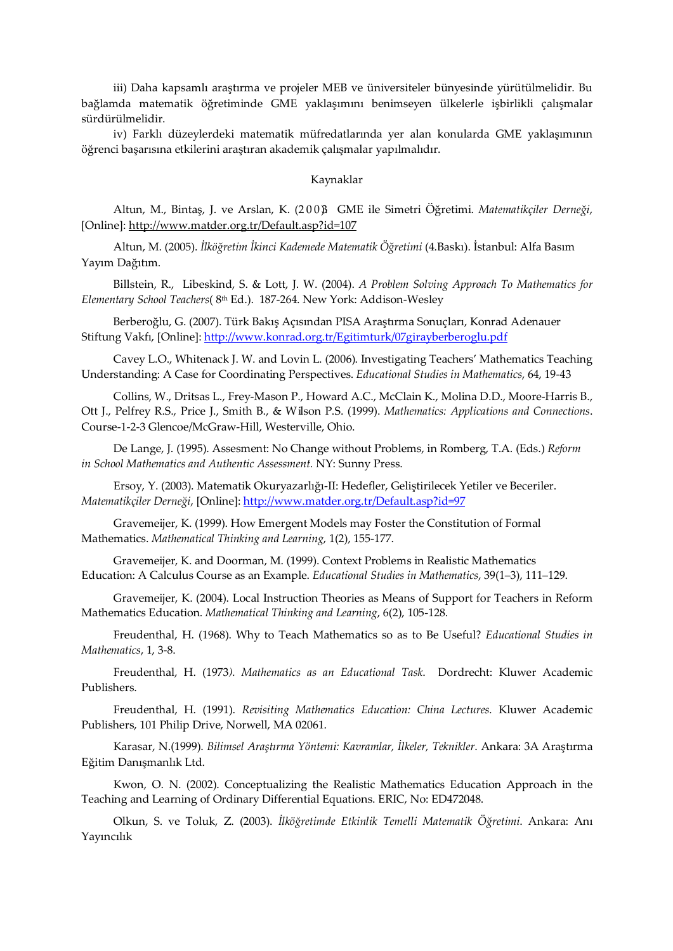iii) Daha kapsamlı araştırma ve projeler MEB ve üniversiteler bünyesinde yürütülmelidir. Bu bağlamda matematik öğretiminde GME yaklaşımını benimseyen ülkelerle işbirlikli çalışmalar sürdürülmelidir.

iv) Farklı düzeylerdeki matematik müfredatlarında yer alan konularda GME yaklaşımının öğrenci başarısına etkilerini araştıran akademik çalışmalar yapılmalıdır.

#### Kaynaklar

Altun, M., Bintaş, J. ve Arslan, K. (2 0 0 3). GME ile Simetri Öğretimi. *Matematikçiler Derneği*, [Online]: <http://www.matder.org.tr/Default.asp?id=107>

Altun, M. (2005). *İlköğretim İkinci Kademede Matematik Öğretimi* (4.Baskı). İstanbul: Alfa Basım Yayım Dağıtım.

Billstein, R., Libeskind, S. & Lott, J. W. (2004). *A Problem Solving Approach To Mathematics for Elementary School Teachers*( 8th Ed.). 187-264. New York: Addison-Wesley

Berberoğlu, G. (2007). Türk Bakış Açısından PISA Araştırma Sonuçları, Konrad Adenauer Stiftung Vakfı, [Online]: <http://www.konrad.org.tr/Egitimturk/07girayberberoglu.pdf>

Cavey L.O., Whitenack J. W. and Lovin L. (2006). Investigating Teachers' Mathematics Teaching Understanding: A Case for Coordinating Perspectives. *Educational Studies in Mathematics*, 64, 19-43

Collins, W., Dritsas L., Frey-Mason P., Howard A.C., McClain K., Molina D.D., Moore-Harris B., Ott J., Pelfrey R.S., Price J., Smith B., & Wilson P.S. (1999). *Mathematics: Applications and Connections*. Course-1-2-3 Glencoe/McGraw-Hill, Westerville, Ohio.

De Lange, J. (1995). Assesment: No Change without Problems, in Romberg, T.A. (Eds.) *Reform in School Mathematics and Authentic Assessment.* NY: Sunny Press.

Ersoy, Y. (2003). Matematik Okuryazarlığı-II: Hedefler, Geliştirilecek Yetiler ve Beceriler. *Matematikçiler Derneği*, [Online]: <http://www.matder.org.tr/Default.asp?id=97>

Gravemeijer, K. (1999). How Emergent Models may Foster the Constitution of Formal Mathematics. *Mathematical Thinking and Learning*, 1(2), 155-177.

Gravemeijer, K. and Doorman, M. (1999). Context Problems in Realistic Mathematics Education: A Calculus Course as an Example. *Educational Studies in Mathematics*, 39(1–3), 111–129.

Gravemeijer, K. (2004). Local Instruction Theories as Means of Support for Teachers in Reform Mathematics Education. *Mathematical Thinking and Learning*, 6(2), 105-128.

Freudenthal, H. (1968). Why to Teach Mathematics so as to Be Useful? *Educational Studies in Mathematics*, 1, 3-8.

Freudenthal, H. (1973*). Mathematics as an Educational Task*. Dordrecht: Kluwer Academic Publishers.

Freudenthal, H. (1991). *Revisiting Mathematics Education: China Lectures.* Kluwer Academic Publishers, 101 Philip Drive, Norwell, MA 02061.

Karasar, N.(1999). *Bilimsel Araştırma Yöntemi: Kavramlar, İlkeler, Teknikler*. Ankara: 3A Araştırma Eğitim Danışmanlık Ltd.

Kwon, O. N. (2002). Conceptualizing the Realistic Mathematics Education Approach in the Teaching and Learning of Ordinary Differential Equations. ERIC, No: ED472048.

Olkun, S. ve Toluk, Z. (2003). *İlköğretimde Etkinlik Temelli Matematik Öğretimi*. Ankara: Anı Yayıncılık